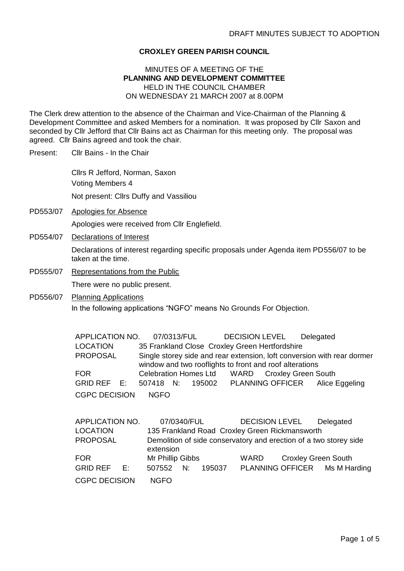## **CROXLEY GREEN PARISH COUNCIL**

## MINUTES OF A MEETING OF THE **PLANNING AND DEVELOPMENT COMMITTEE** HELD IN THE COUNCIL CHAMBER ON WEDNESDAY 21 MARCH 2007 at 8.00PM

The Clerk drew attention to the absence of the Chairman and Vice-Chairman of the Planning & Development Committee and asked Members for a nomination. It was proposed by Cllr Saxon and seconded by Cllr Jefford that Cllr Bains act as Chairman for this meeting only. The proposal was agreed. Cllr Bains agreed and took the chair.

Present: Cllr Bains - In the Chair

Cllrs R Jefford, Norman, Saxon Voting Members 4 Not present: Cllrs Duffy and Vassiliou

- PD553/07 Apologies for Absence Apologies were received from Cllr Englefield.
- PD554/07 Declarations of Interest Declarations of interest regarding specific proposals under Agenda item PD556/07 to be taken at the time.
- PD555/07 Representations from the Public

There were no public present.

PD556/07 Planning Applications In the following applications "NGFO" means No Grounds For Objection.

> APPLICATION NO. 07/0313/FUL DECISION LEVEL Delegated LOCATION 35 Frankland Close Croxley Green Hertfordshire PROPOSAL Single storey side and rear extension, loft conversion with rear dormer window and two rooflights to front and roof alterations FOR Celebration Homes Ltd WARD Croxley Green South GRID REF E: 507418 N: 195002 PLANNING OFFICER Alice Eggeling CGPC DECISION NGFO

| APPLICATION NO.      | 07/0340/FUL                                                                    | <b>DECISION LEVEL</b> |                            | Delegated                     |  |
|----------------------|--------------------------------------------------------------------------------|-----------------------|----------------------------|-------------------------------|--|
| <b>LOCATION</b>      | 135 Frankland Road Croxley Green Rickmansworth                                 |                       |                            |                               |  |
| <b>PROPOSAL</b>      | Demolition of side conservatory and erection of a two storey side<br>extension |                       |                            |                               |  |
| <b>FOR</b>           | Mr Phillip Gibbs                                                               | WARD                  | <b>Croxley Green South</b> |                               |  |
| GRID REF E:          | $507552$ N:<br>195037                                                          |                       |                            | PLANNING OFFICER Ms M Harding |  |
| <b>CGPC DECISION</b> | <b>NGFO</b>                                                                    |                       |                            |                               |  |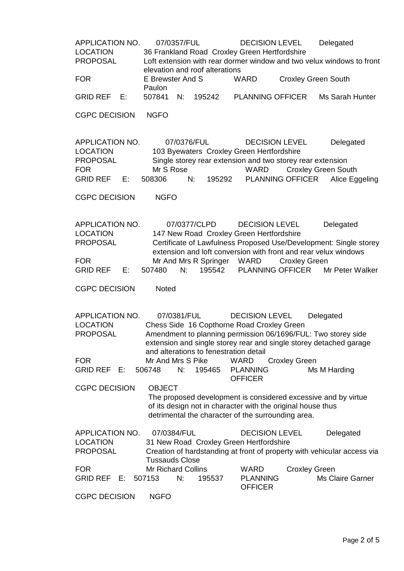APPLICATION NO. 07/0357/FUL DECISION LEVEL Delegated LOCATION 36 Frankland Road Croxley Green Hertfordshire PROPOSAL Loft extension with rear dormer window and two velux windows to front elevation and roof alterations FOR E Brewster And S Paulon WARD Croxley Green South GRID REF E: 507841 N: 195242 PLANNING OFFICER Ms Sarah Hunter CGPC DECISION NGFO APPLICATION NO. 07/0376/FUL DECISION LEVEL Delegated LOCATION 103 Byewaters Croxley Green Hertfordshire PROPOSAL Single storey rear extension and two storey rear extension FOR Mr S Rose WARD Croxley Green South GRID REF E: 508306 N: 195292 PLANNING OFFICER Alice Eggeling CGPC DECISION NGFO APPLICATION NO. 07/0377/CLPD DECISION LEVEL Delegated LOCATION 147 New Road Croxley Green Hertfordshire PROPOSAL Certificate of Lawfulness Proposed Use/Development: Single storey extension and loft conversion with front and rear velux windows FOR Mr And Mrs R Springer WARD Croxley Green GRID REF E: 507480 N: 195542 PLANNING OFFICER Mr Peter Walker CGPC DECISION Noted APPLICATION NO. 07/0381/FUL DECISION LEVEL Delegated LOCATION Chess Side 16 Copthorne Road Croxley Green PROPOSAL Amendment to planning permission 06/1696/FUL: Two storey side extension and single storey rear and single storey detached garage and alterations to fenestration detail FOR Mr And Mrs S Pike WARD Croxley Green GRID REF E: 506748 N: 195465 PLANNING **OFFICER** Ms M Harding CGPC DECISION OBJECT The proposed development is considered excessive and by virtue of its design not in character with the original house thus detrimental the character of the surrounding area. APPLICATION NO. 07/0384/FUL DECISION LEVEL Delegated LOCATION 31 New Road Croxley Green Hertfordshire PROPOSAL Creation of hardstanding at front of property with vehicular access via Tussauds Close FOR Mr Richard Collins WARD Croxley Green GRID REF E: 507153 N: 195537 PLANNING **OFFICER** Ms Claire Garner CGPC DECISION NGFO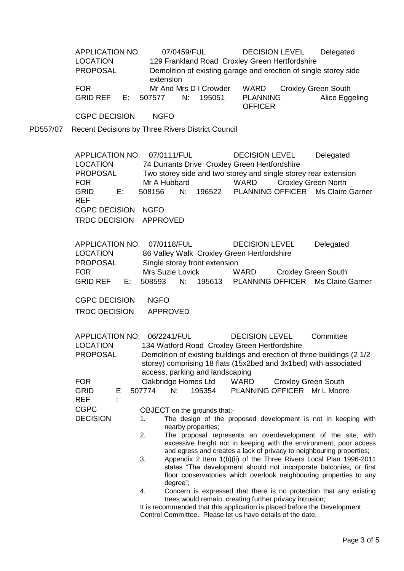APPLICATION NO. 07/0459/FUL DECISION LEVEL Delegated LOCATION 129 Frankland Road Croxley Green Hertfordshire PROPOSAL Demolition of existing garage and erection of single storey side extension FOR Mr And Mrs D I Crowder WARD Croxley Green South GRID REF E: 507577 N: 195051 PLANNING **OFFICER** Alice Eggeling

CGPC DECISION NGFO

PD557/07 Recent Decisions by Three Rivers District Council

APPLICATION NO. 07/0111/FUL DECISION LEVEL Delegated LOCATION 74 Durrants Drive Croxley Green Hertfordshire PROPOSAL Two storey side and two storey and single storey rear extension FOR Mr A Hubbard WARD Croxley Green North GRID REF E: 508156 N: 196522 PLANNING OFFICER Ms Claire Garner CGPC DECISION NGFO TRDC DECISION APPROVED

APPLICATION NO. 07/0118/FUL DECISION LEVEL Delegated LOCATION 86 Valley Walk Croxley Green Hertfordshire PROPOSAL Single storey front extension FOR Mrs Suzie Lovick WARD Croxley Green South GRID REF E: 508593 N: 195613 PLANNING OFFICER Ms Claire Garner

CGPC DECISION NGFO TRDC DECISION APPROVED

| APPLICATION NO.<br>LOCATION<br><b>PROPOSAL</b>                           |                              |           | 06/2241/FUL                                                                                                                                                                                                               |                     | <b>DECISION LEVEL</b><br>134 Watford Road Croxley Green Hertfordshire |                                                               | Committee                   |  |  |
|--------------------------------------------------------------------------|------------------------------|-----------|---------------------------------------------------------------------------------------------------------------------------------------------------------------------------------------------------------------------------|---------------------|-----------------------------------------------------------------------|---------------------------------------------------------------|-----------------------------|--|--|
|                                                                          |                              |           | Demolition of existing buildings and erection of three buildings (2 1/2<br>storey) comprising 18 flats (15x2bed and 3x1bed) with associated<br>access, parking and landscaping                                            |                     |                                                                       |                                                               |                             |  |  |
| FOR                                                                      |                              |           |                                                                                                                                                                                                                           | Oakbridge Homes Ltd |                                                                       | WARD Croxley Green South                                      |                             |  |  |
| GRID<br>E.<br>REF                                                        |                              | 507774 N: |                                                                                                                                                                                                                           | 195354              |                                                                       |                                                               | PLANNING OFFICER Mr L Moore |  |  |
| CGPC                                                                     | OBJECT on the grounds that:- |           |                                                                                                                                                                                                                           |                     |                                                                       |                                                               |                             |  |  |
| <b>DECISION</b>                                                          | 1.                           |           | nearby properties;                                                                                                                                                                                                        |                     |                                                                       | The design of the proposed development is not in keeping with |                             |  |  |
|                                                                          |                              | 2.        | The proposal represents an overdevelopment of the site, with<br>excessive height not in keeping with the environment, poor access<br>and egress and creates a lack of privacy to neighbouring properties;                 |                     |                                                                       |                                                               |                             |  |  |
|                                                                          |                              | 3.        | Appendix 2 Item 1(b)(ii) of the Three Rivers Local Plan 1996-2011<br>states "The development should not incorporate balconies, or first<br>floor conservatories which overlook neighbouring properties to any<br>degree"; |                     |                                                                       |                                                               |                             |  |  |
|                                                                          |                              | 4.        | Concern is expressed that there is no protection that any existing<br>trees would remain, creating further privacy intrusion;                                                                                             |                     |                                                                       |                                                               |                             |  |  |
| It is resempended that this application is placed before the Development |                              |           |                                                                                                                                                                                                                           |                     |                                                                       |                                                               |                             |  |  |

It is recommended that this application is placed before the Development Control Committee. Please let us have details of the date.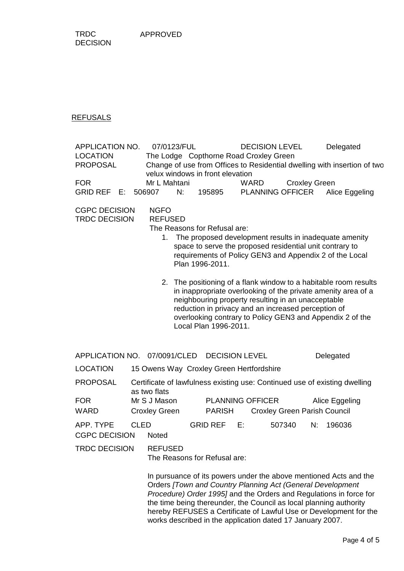TRDC DECISION

## REFUSALS

| APPLICATION NO.<br><b>LOCATION</b><br><b>PROPOSAL</b><br><b>FOR</b><br>GRID REF E:                                                                                                                                                                                                                                      |             | 07/0123/FUL<br>The Lodge Copthorne Road Croxley Green<br>velux windows in front elevation<br>Mr L Mahtani<br>506907<br>N: |  | 195895                                   | WARD                  | <b>DECISION LEVEL</b><br><b>PLANNING OFFICER</b>                                                          | <b>Croxley Green</b> | Delegated<br>Change of use from Offices to Residential dwelling with insertion of two<br>Alice Eggeling                                                                                        |
|-------------------------------------------------------------------------------------------------------------------------------------------------------------------------------------------------------------------------------------------------------------------------------------------------------------------------|-------------|---------------------------------------------------------------------------------------------------------------------------|--|------------------------------------------|-----------------------|-----------------------------------------------------------------------------------------------------------|----------------------|------------------------------------------------------------------------------------------------------------------------------------------------------------------------------------------------|
| <b>CGPC DECISION</b><br><b>NGFO</b><br><b>TRDC DECISION</b><br><b>REFUSED</b><br>The Reasons for Refusal are:<br>The proposed development results in inadequate amenity<br>1.<br>space to serve the proposed residential unit contrary to<br>requirements of Policy GEN3 and Appendix 2 of the Local<br>Plan 1996-2011. |             |                                                                                                                           |  |                                          |                       |                                                                                                           |                      |                                                                                                                                                                                                |
|                                                                                                                                                                                                                                                                                                                         |             |                                                                                                                           |  | Local Plan 1996-2011.                    |                       | neighbouring property resulting in an unacceptable<br>reduction in privacy and an increased perception of |                      | 2. The positioning of a flank window to a habitable room results<br>in inappropriate overlooking of the private amenity area of a<br>overlooking contrary to Policy GEN3 and Appendix 2 of the |
| APPLICATION NO. 07/0091/CLED                                                                                                                                                                                                                                                                                            |             |                                                                                                                           |  |                                          | <b>DECISION LEVEL</b> |                                                                                                           |                      | Delegated                                                                                                                                                                                      |
| <b>LOCATION</b>                                                                                                                                                                                                                                                                                                         |             | 15 Owens Way Croxley Green Hertfordshire                                                                                  |  |                                          |                       |                                                                                                           |                      |                                                                                                                                                                                                |
| <b>PROPOSAL</b>                                                                                                                                                                                                                                                                                                         |             | Certificate of lawfulness existing use: Continued use of existing dwelling                                                |  |                                          |                       |                                                                                                           |                      |                                                                                                                                                                                                |
| <b>FOR</b><br><b>WARD</b>                                                                                                                                                                                                                                                                                               |             | as two flats<br>Mr S J Mason<br><b>Croxley Green</b>                                                                      |  | <b>PLANNING OFFICER</b><br><b>PARISH</b> |                       | Alice Eggeling<br><b>Croxley Green Parish Council</b>                                                     |                      |                                                                                                                                                                                                |
| APP. TYPE<br><b>CGPC DECISION</b>                                                                                                                                                                                                                                                                                       | <b>CLED</b> | <b>Noted</b>                                                                                                              |  | <b>GRID REF</b>                          | E:                    | 507340                                                                                                    | N:                   | 196036                                                                                                                                                                                         |
| <b>TRDC DECISION</b>                                                                                                                                                                                                                                                                                                    |             | <b>REFUSED</b><br>The Reasons for Refusal are:                                                                            |  |                                          |                       |                                                                                                           |                      |                                                                                                                                                                                                |
| In pursuance of its powers under the above mentioned Acts and the<br>Orders [Town and Country Planning Act (General Development<br>Procedure) Order 1995] and the Orders and Regulations in force for<br>the time being thereunder, the Council as local planning authority                                             |             |                                                                                                                           |  |                                          |                       |                                                                                                           |                      |                                                                                                                                                                                                |

hereby REFUSES a Certificate of Lawful Use or Development for the

works described in the application dated 17 January 2007.